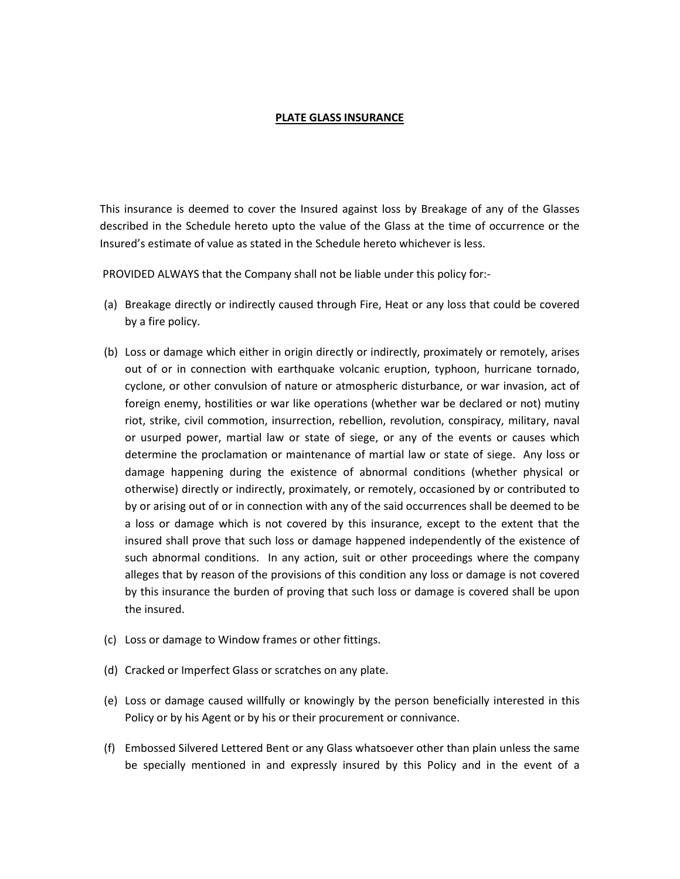## PLATE GLASS INSURANCE

This insurance is deemed to cover the Insured against loss by Breakage of any of the Glasses described in the Schedule hereto upto the value of the Glass at the time of occurrence or the Insured's estimate of value as stated in the Schedule hereto whichever is less.

PROVIDED ALWAYS that the Company shall not be liable under this policy for:-

- (a) Breakage directly or indirectly caused through Fire, Heat or any loss that could be covered by a fire policy.
- (b) Loss or damage which either in origin directly or indirectly, proximately or remotely, arises out of or in connection with earthquake volcanic eruption, typhoon, hurricane tornado, cyclone, or other convulsion of nature or atmospheric disturbance, or war invasion, act of foreign enemy, hostilities or war like operations (whether war be declared or not) mutiny riot, strike, civil commotion, insurrection, rebellion, revolution, conspiracy, military, naval or usurped power, martial law or state of siege, or any of the events or causes which determine the proclamation or maintenance of martial law or state of siege. Any loss or damage happening during the existence of abnormal conditions (whether physical or otherwise) directly or indirectly, proximately, or remotely, occasioned by or contributed to by or arising out of or in connection with any of the said occurrences shall be deemed to be a loss or damage which is not covered by this insurance, except to the extent that the insured shall prove that such loss or damage happened independently of the existence of such abnormal conditions. In any action, suit or other proceedings where the company alleges that by reason of the provisions of this condition any loss or damage is not covered by this insurance the burden of proving that such loss or damage is covered shall be upon the insured.
- (c) Loss or damage to Window frames or other fittings.
- (d) Cracked or Imperfect Glass or scratches on any plate.
- (e) Loss or damage caused willfully or knowingly by the person beneficially interested in this Policy or by his Agent or by his or their procurement or connivance.
- (f) Embossed Silvered Lettered Bent or any Glass whatsoever other than plain unless the same be specially mentioned in and expressly insured by this Policy and in the event of a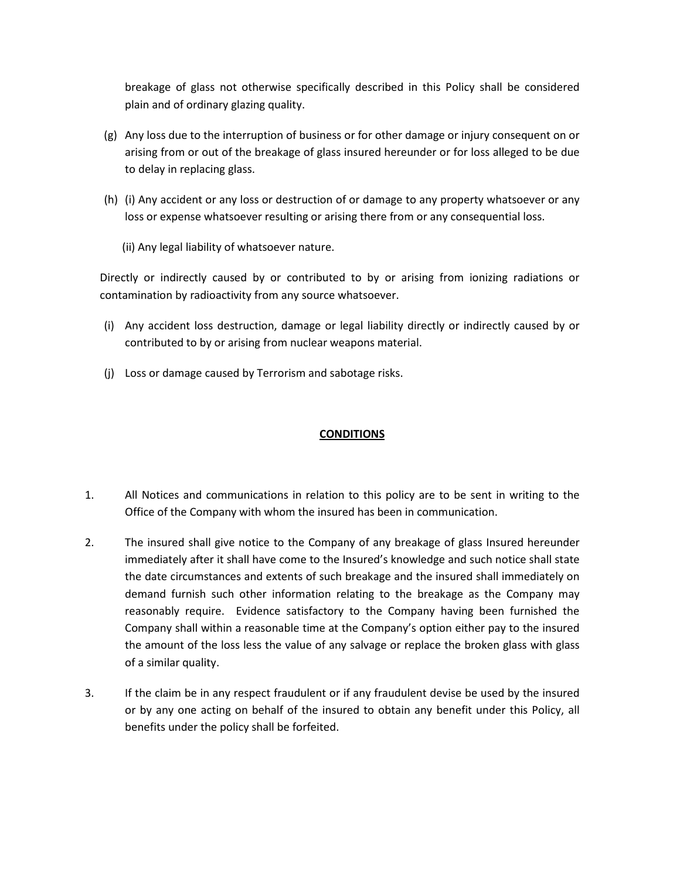breakage of glass not otherwise specifically described in this Policy shall be considered plain and of ordinary glazing quality.

- (g) Any loss due to the interruption of business or for other damage or injury consequent on or arising from or out of the breakage of glass insured hereunder or for loss alleged to be due to delay in replacing glass.
- (h) (i) Any accident or any loss or destruction of or damage to any property whatsoever or any loss or expense whatsoever resulting or arising there from or any consequential loss.
	- (ii) Any legal liability of whatsoever nature.

Directly or indirectly caused by or contributed to by or arising from ionizing radiations or contamination by radioactivity from any source whatsoever.

- (i) Any accident loss destruction, damage or legal liability directly or indirectly caused by or contributed to by or arising from nuclear weapons material.
- (j) Loss or damage caused by Terrorism and sabotage risks.

## **CONDITIONS**

- 1. All Notices and communications in relation to this policy are to be sent in writing to the Office of the Company with whom the insured has been in communication.
- 2. The insured shall give notice to the Company of any breakage of glass Insured hereunder immediately after it shall have come to the Insured's knowledge and such notice shall state the date circumstances and extents of such breakage and the insured shall immediately on demand furnish such other information relating to the breakage as the Company may reasonably require. Evidence satisfactory to the Company having been furnished the Company shall within a reasonable time at the Company's option either pay to the insured the amount of the loss less the value of any salvage or replace the broken glass with glass of a similar quality.
- 3. If the claim be in any respect fraudulent or if any fraudulent devise be used by the insured or by any one acting on behalf of the insured to obtain any benefit under this Policy, all benefits under the policy shall be forfeited.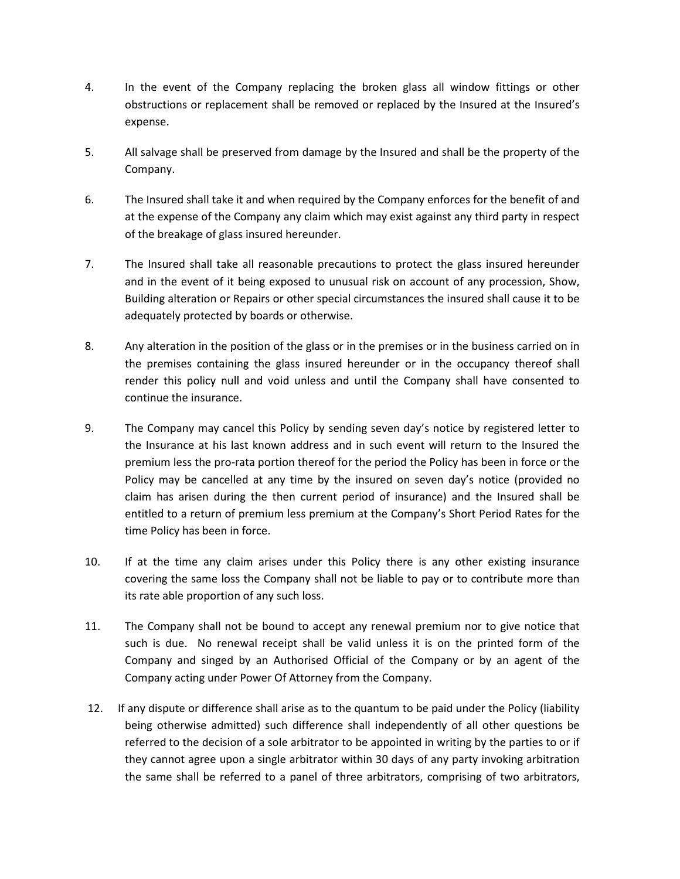- 4. In the event of the Company replacing the broken glass all window fittings or other obstructions or replacement shall be removed or replaced by the Insured at the Insured's expense.
- 5. All salvage shall be preserved from damage by the Insured and shall be the property of the Company.
- 6. The Insured shall take it and when required by the Company enforces for the benefit of and at the expense of the Company any claim which may exist against any third party in respect of the breakage of glass insured hereunder.
- 7. The Insured shall take all reasonable precautions to protect the glass insured hereunder and in the event of it being exposed to unusual risk on account of any procession, Show, Building alteration or Repairs or other special circumstances the insured shall cause it to be adequately protected by boards or otherwise.
- 8. Any alteration in the position of the glass or in the premises or in the business carried on in the premises containing the glass insured hereunder or in the occupancy thereof shall render this policy null and void unless and until the Company shall have consented to continue the insurance.
- 9. The Company may cancel this Policy by sending seven day's notice by registered letter to the Insurance at his last known address and in such event will return to the Insured the premium less the pro-rata portion thereof for the period the Policy has been in force or the Policy may be cancelled at any time by the insured on seven day's notice (provided no claim has arisen during the then current period of insurance) and the Insured shall be entitled to a return of premium less premium at the Company's Short Period Rates for the time Policy has been in force.
- 10. If at the time any claim arises under this Policy there is any other existing insurance covering the same loss the Company shall not be liable to pay or to contribute more than its rate able proportion of any such loss.
- 11. The Company shall not be bound to accept any renewal premium nor to give notice that such is due. No renewal receipt shall be valid unless it is on the printed form of the Company and singed by an Authorised Official of the Company or by an agent of the Company acting under Power Of Attorney from the Company.
- 12. If any dispute or difference shall arise as to the quantum to be paid under the Policy (liability being otherwise admitted) such difference shall independently of all other questions be referred to the decision of a sole arbitrator to be appointed in writing by the parties to or if they cannot agree upon a single arbitrator within 30 days of any party invoking arbitration the same shall be referred to a panel of three arbitrators, comprising of two arbitrators,